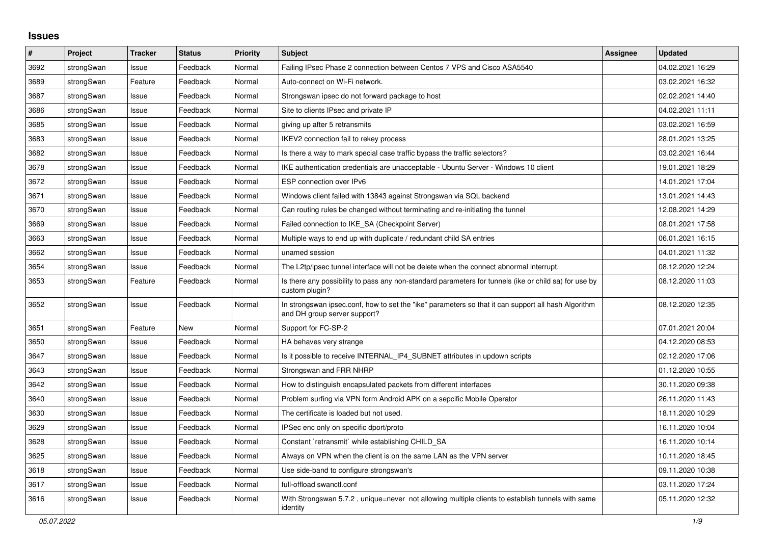## **Issues**

| #    | Project    | <b>Tracker</b> | <b>Status</b> | <b>Priority</b> | <b>Subject</b>                                                                                                                      | <b>Assignee</b> | <b>Updated</b>   |
|------|------------|----------------|---------------|-----------------|-------------------------------------------------------------------------------------------------------------------------------------|-----------------|------------------|
| 3692 | strongSwan | Issue          | Feedback      | Normal          | Failing IPsec Phase 2 connection between Centos 7 VPS and Cisco ASA5540                                                             |                 | 04.02.2021 16:29 |
| 3689 | strongSwan | Feature        | Feedback      | Normal          | Auto-connect on Wi-Fi network.                                                                                                      |                 | 03.02.2021 16:32 |
| 3687 | strongSwan | Issue          | Feedback      | Normal          | Strongswan ipsec do not forward package to host                                                                                     |                 | 02.02.2021 14:40 |
| 3686 | strongSwan | Issue          | Feedback      | Normal          | Site to clients IPsec and private IP                                                                                                |                 | 04.02.2021 11:11 |
| 3685 | strongSwan | Issue          | Feedback      | Normal          | giving up after 5 retransmits                                                                                                       |                 | 03.02.2021 16:59 |
| 3683 | strongSwan | Issue          | Feedback      | Normal          | IKEV2 connection fail to rekey process                                                                                              |                 | 28.01.2021 13:25 |
| 3682 | strongSwan | Issue          | Feedback      | Normal          | Is there a way to mark special case traffic bypass the traffic selectors?                                                           |                 | 03.02.2021 16:44 |
| 3678 | strongSwan | Issue          | Feedback      | Normal          | IKE authentication credentials are unacceptable - Ubuntu Server - Windows 10 client                                                 |                 | 19.01.2021 18:29 |
| 3672 | strongSwan | Issue          | Feedback      | Normal          | ESP connection over IPv6                                                                                                            |                 | 14.01.2021 17:04 |
| 3671 | strongSwan | Issue          | Feedback      | Normal          | Windows client failed with 13843 against Strongswan via SQL backend                                                                 |                 | 13.01.2021 14:43 |
| 3670 | strongSwan | Issue          | Feedback      | Normal          | Can routing rules be changed without terminating and re-initiating the tunnel                                                       |                 | 12.08.2021 14:29 |
| 3669 | strongSwan | Issue          | Feedback      | Normal          | Failed connection to IKE_SA (Checkpoint Server)                                                                                     |                 | 08.01.2021 17:58 |
| 3663 | strongSwan | Issue          | Feedback      | Normal          | Multiple ways to end up with duplicate / redundant child SA entries                                                                 |                 | 06.01.2021 16:15 |
| 3662 | strongSwan | Issue          | Feedback      | Normal          | unamed session                                                                                                                      |                 | 04.01.2021 11:32 |
| 3654 | strongSwan | Issue          | Feedback      | Normal          | The L2tp/ipsec tunnel interface will not be delete when the connect abnormal interrupt.                                             |                 | 08.12.2020 12:24 |
| 3653 | strongSwan | Feature        | Feedback      | Normal          | Is there any possibility to pass any non-standard parameters for tunnels (ike or child sa) for use by<br>custom plugin?             |                 | 08.12.2020 11:03 |
| 3652 | strongSwan | Issue          | Feedback      | Normal          | In strongswan ipsec.conf, how to set the "ike" parameters so that it can support all hash Algorithm<br>and DH group server support? |                 | 08.12.2020 12:35 |
| 3651 | strongSwan | Feature        | New           | Normal          | Support for FC-SP-2                                                                                                                 |                 | 07.01.2021 20:04 |
| 3650 | strongSwan | Issue          | Feedback      | Normal          | HA behaves very strange                                                                                                             |                 | 04.12.2020 08:53 |
| 3647 | strongSwan | Issue          | Feedback      | Normal          | Is it possible to receive INTERNAL IP4 SUBNET attributes in updown scripts                                                          |                 | 02.12.2020 17:06 |
| 3643 | strongSwan | Issue          | Feedback      | Normal          | Strongswan and FRR NHRP                                                                                                             |                 | 01.12.2020 10:55 |
| 3642 | strongSwan | Issue          | Feedback      | Normal          | How to distinguish encapsulated packets from different interfaces                                                                   |                 | 30.11.2020 09:38 |
| 3640 | strongSwan | Issue          | Feedback      | Normal          | Problem surfing via VPN form Android APK on a sepcific Mobile Operator                                                              |                 | 26.11.2020 11:43 |
| 3630 | strongSwan | Issue          | Feedback      | Normal          | The certificate is loaded but not used.                                                                                             |                 | 18.11.2020 10:29 |
| 3629 | strongSwan | Issue          | Feedback      | Normal          | IPSec enc only on specific dport/proto                                                                                              |                 | 16.11.2020 10:04 |
| 3628 | strongSwan | Issue          | Feedback      | Normal          | Constant `retransmit` while establishing CHILD_SA                                                                                   |                 | 16.11.2020 10:14 |
| 3625 | strongSwan | Issue          | Feedback      | Normal          | Always on VPN when the client is on the same LAN as the VPN server                                                                  |                 | 10.11.2020 18:45 |
| 3618 | strongSwan | Issue          | Feedback      | Normal          | Use side-band to configure strongswan's                                                                                             |                 | 09.11.2020 10:38 |
| 3617 | strongSwan | Issue          | Feedback      | Normal          | full-offload swanctl.conf                                                                                                           |                 | 03.11.2020 17:24 |
| 3616 | strongSwan | Issue          | Feedback      | Normal          | With Strongswan 5.7.2, unique=never not allowing multiple clients to establish tunnels with same<br>identity                        |                 | 05.11.2020 12:32 |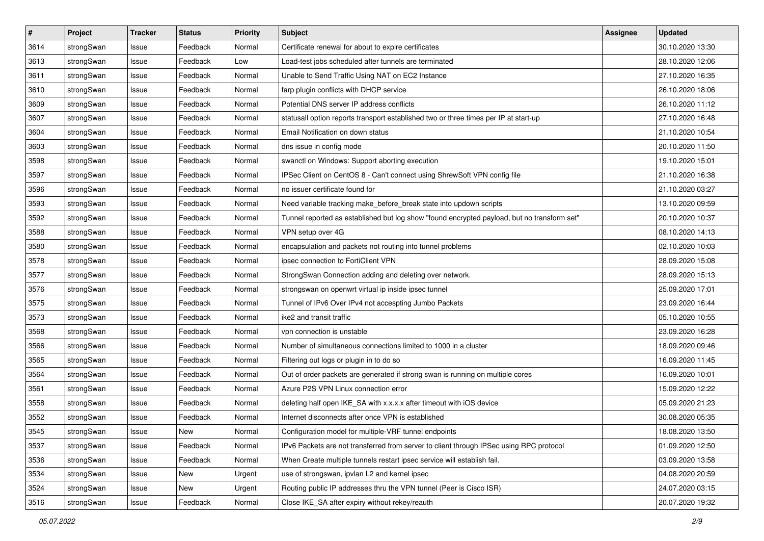| $\pmb{\#}$ | Project    | <b>Tracker</b> | <b>Status</b> | <b>Priority</b> | <b>Subject</b>                                                                              | Assignee | <b>Updated</b>   |
|------------|------------|----------------|---------------|-----------------|---------------------------------------------------------------------------------------------|----------|------------------|
| 3614       | strongSwan | Issue          | Feedback      | Normal          | Certificate renewal for about to expire certificates                                        |          | 30.10.2020 13:30 |
| 3613       | strongSwan | Issue          | Feedback      | Low             | Load-test jobs scheduled after tunnels are terminated                                       |          | 28.10.2020 12:06 |
| 3611       | strongSwan | Issue          | Feedback      | Normal          | Unable to Send Traffic Using NAT on EC2 Instance                                            |          | 27.10.2020 16:35 |
| 3610       | strongSwan | Issue          | Feedback      | Normal          | farp plugin conflicts with DHCP service                                                     |          | 26.10.2020 18:06 |
| 3609       | strongSwan | Issue          | Feedback      | Normal          | Potential DNS server IP address conflicts                                                   |          | 26.10.2020 11:12 |
| 3607       | strongSwan | Issue          | Feedback      | Normal          | statusall option reports transport established two or three times per IP at start-up        |          | 27.10.2020 16:48 |
| 3604       | strongSwan | Issue          | Feedback      | Normal          | Email Notification on down status                                                           |          | 21.10.2020 10:54 |
| 3603       | strongSwan | Issue          | Feedback      | Normal          | dns issue in config mode                                                                    |          | 20.10.2020 11:50 |
| 3598       | strongSwan | Issue          | Feedback      | Normal          | swanctl on Windows: Support aborting execution                                              |          | 19.10.2020 15:01 |
| 3597       | strongSwan | Issue          | Feedback      | Normal          | IPSec Client on CentOS 8 - Can't connect using ShrewSoft VPN config file                    |          | 21.10.2020 16:38 |
| 3596       | strongSwan | Issue          | Feedback      | Normal          | no issuer certificate found for                                                             |          | 21.10.2020 03:27 |
| 3593       | strongSwan | Issue          | Feedback      | Normal          | Need variable tracking make_before_break state into updown scripts                          |          | 13.10.2020 09:59 |
| 3592       | strongSwan | Issue          | Feedback      | Normal          | Tunnel reported as established but log show "found encrypted payload, but no transform set" |          | 20.10.2020 10:37 |
| 3588       | strongSwan | lssue          | Feedback      | Normal          | VPN setup over 4G                                                                           |          | 08.10.2020 14:13 |
| 3580       | strongSwan | Issue          | Feedback      | Normal          | encapsulation and packets not routing into tunnel problems                                  |          | 02.10.2020 10:03 |
| 3578       | strongSwan | Issue          | Feedback      | Normal          | ipsec connection to FortiClient VPN                                                         |          | 28.09.2020 15:08 |
| 3577       | strongSwan | Issue          | Feedback      | Normal          | StrongSwan Connection adding and deleting over network.                                     |          | 28.09.2020 15:13 |
| 3576       | strongSwan | Issue          | Feedback      | Normal          | strongswan on openwrt virtual ip inside ipsec tunnel                                        |          | 25.09.2020 17:01 |
| 3575       | strongSwan | Issue          | Feedback      | Normal          | Tunnel of IPv6 Over IPv4 not accespting Jumbo Packets                                       |          | 23.09.2020 16:44 |
| 3573       | strongSwan | Issue          | Feedback      | Normal          | ike2 and transit traffic                                                                    |          | 05.10.2020 10:55 |
| 3568       | strongSwan | Issue          | Feedback      | Normal          | vpn connection is unstable                                                                  |          | 23.09.2020 16:28 |
| 3566       | strongSwan | Issue          | Feedback      | Normal          | Number of simultaneous connections limited to 1000 in a cluster                             |          | 18.09.2020 09:46 |
| 3565       | strongSwan | Issue          | Feedback      | Normal          | Filtering out logs or plugin in to do so                                                    |          | 16.09.2020 11:45 |
| 3564       | strongSwan | Issue          | Feedback      | Normal          | Out of order packets are generated if strong swan is running on multiple cores              |          | 16.09.2020 10:01 |
| 3561       | strongSwan | Issue          | Feedback      | Normal          | Azure P2S VPN Linux connection error                                                        |          | 15.09.2020 12:22 |
| 3558       | strongSwan | Issue          | Feedback      | Normal          | deleting half open IKE_SA with x.x.x.x after timeout with iOS device                        |          | 05.09.2020 21:23 |
| 3552       | strongSwan | Issue          | Feedback      | Normal          | Internet disconnects after once VPN is established                                          |          | 30.08.2020 05:35 |
| 3545       | strongSwan | Issue          | New           | Normal          | Configuration model for multiple-VRF tunnel endpoints                                       |          | 18.08.2020 13:50 |
| 3537       | strongSwan | Issue          | Feedback      | Normal          | IPv6 Packets are not transferred from server to client through IPSec using RPC protocol     |          | 01.09.2020 12:50 |
| 3536       | strongSwan | Issue          | Feedback      | Normal          | When Create multiple tunnels restart ipsec service will establish fail.                     |          | 03.09.2020 13:58 |
| 3534       | strongSwan | Issue          | New           | Urgent          | use of strongswan, ipvlan L2 and kernel ipsec                                               |          | 04.08.2020 20:59 |
| 3524       | strongSwan | Issue          | New           | Urgent          | Routing public IP addresses thru the VPN tunnel (Peer is Cisco ISR)                         |          | 24.07.2020 03:15 |
| 3516       | strongSwan | Issue          | Feedback      | Normal          | Close IKE_SA after expiry without rekey/reauth                                              |          | 20.07.2020 19:32 |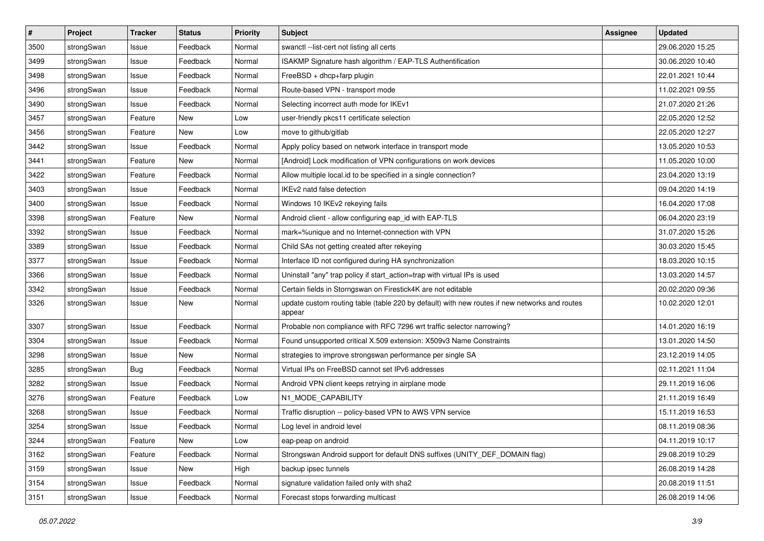| $\pmb{\#}$ | Project    | <b>Tracker</b> | <b>Status</b> | <b>Priority</b> | <b>Subject</b>                                                                                          | Assignee | <b>Updated</b>   |
|------------|------------|----------------|---------------|-----------------|---------------------------------------------------------------------------------------------------------|----------|------------------|
| 3500       | strongSwan | Issue          | Feedback      | Normal          | swanctl --list-cert not listing all certs                                                               |          | 29.06.2020 15:25 |
| 3499       | strongSwan | Issue          | Feedback      | Normal          | ISAKMP Signature hash algorithm / EAP-TLS Authentification                                              |          | 30.06.2020 10:40 |
| 3498       | strongSwan | Issue          | Feedback      | Normal          | FreeBSD + dhcp+farp plugin                                                                              |          | 22.01.2021 10:44 |
| 3496       | strongSwan | Issue          | Feedback      | Normal          | Route-based VPN - transport mode                                                                        |          | 11.02.2021 09:55 |
| 3490       | strongSwan | Issue          | Feedback      | Normal          | Selecting incorrect auth mode for IKEv1                                                                 |          | 21.07.2020 21:26 |
| 3457       | strongSwan | Feature        | New           | Low             | user-friendly pkcs11 certificate selection                                                              |          | 22.05.2020 12:52 |
| 3456       | strongSwan | Feature        | New           | Low             | move to github/gitlab                                                                                   |          | 22.05.2020 12:27 |
| 3442       | strongSwan | Issue          | Feedback      | Normal          | Apply policy based on network interface in transport mode                                               |          | 13.05.2020 10:53 |
| 3441       | strongSwan | Feature        | New           | Normal          | [Android] Lock modification of VPN configurations on work devices                                       |          | 11.05.2020 10:00 |
| 3422       | strongSwan | Feature        | Feedback      | Normal          | Allow multiple local.id to be specified in a single connection?                                         |          | 23.04.2020 13:19 |
| 3403       | strongSwan | Issue          | Feedback      | Normal          | IKEv2 natd false detection                                                                              |          | 09.04.2020 14:19 |
| 3400       | strongSwan | Issue          | Feedback      | Normal          | Windows 10 IKEv2 rekeying fails                                                                         |          | 16.04.2020 17:08 |
| 3398       | strongSwan | Feature        | New           | Normal          | Android client - allow configuring eap_id with EAP-TLS                                                  |          | 06.04.2020 23:19 |
| 3392       | strongSwan | Issue          | Feedback      | Normal          | mark=%unique and no Internet-connection with VPN                                                        |          | 31.07.2020 15:26 |
| 3389       | strongSwan | Issue          | Feedback      | Normal          | Child SAs not getting created after rekeying                                                            |          | 30.03.2020 15:45 |
| 3377       | strongSwan | Issue          | Feedback      | Normal          | Interface ID not configured during HA synchronization                                                   |          | 18.03.2020 10:15 |
| 3366       | strongSwan | Issue          | Feedback      | Normal          | Uninstall "any" trap policy if start_action=trap with virtual IPs is used                               |          | 13.03.2020 14:57 |
| 3342       | strongSwan | Issue          | Feedback      | Normal          | Certain fields in Storngswan on Firestick4K are not editable                                            |          | 20.02.2020 09:36 |
| 3326       | strongSwan | Issue          | New           | Normal          | update custom routing table (table 220 by default) with new routes if new networks and routes<br>appear |          | 10.02.2020 12:01 |
| 3307       | strongSwan | Issue          | Feedback      | Normal          | Probable non compliance with RFC 7296 wrt traffic selector narrowing?                                   |          | 14.01.2020 16:19 |
| 3304       | strongSwan | Issue          | Feedback      | Normal          | Found unsupported critical X.509 extension: X509v3 Name Constraints                                     |          | 13.01.2020 14:50 |
| 3298       | strongSwan | Issue          | <b>New</b>    | Normal          | strategies to improve strongswan performance per single SA                                              |          | 23.12.2019 14:05 |
| 3285       | strongSwan | Bug            | Feedback      | Normal          | Virtual IPs on FreeBSD cannot set IPv6 addresses                                                        |          | 02.11.2021 11:04 |
| 3282       | strongSwan | Issue          | Feedback      | Normal          | Android VPN client keeps retrying in airplane mode                                                      |          | 29.11.2019 16:06 |
| 3276       | strongSwan | Feature        | Feedback      | Low             | N1_MODE_CAPABILITY                                                                                      |          | 21.11.2019 16:49 |
| 3268       | strongSwan | Issue          | Feedback      | Normal          | Traffic disruption -- policy-based VPN to AWS VPN service                                               |          | 15.11.2019 16:53 |
| 3254       | strongSwan | Issue          | Feedback      | Normal          | Log level in android level                                                                              |          | 08.11.2019 08:36 |
| 3244       | strongSwan | Feature        | New           | Low             | eap-peap on android                                                                                     |          | 04.11.2019 10:17 |
| 3162       | strongSwan | Feature        | Feedback      | Normal          | Strongswan Android support for default DNS suffixes (UNITY DEF DOMAIN flag)                             |          | 29.08.2019 10:29 |
| 3159       | strongSwan | Issue          | New           | High            | backup ipsec tunnels                                                                                    |          | 26.08.2019 14:28 |
| 3154       | strongSwan | Issue          | Feedback      | Normal          | signature validation failed only with sha2                                                              |          | 20.08.2019 11:51 |
| 3151       | strongSwan | Issue          | Feedback      | Normal          | Forecast stops forwarding multicast                                                                     |          | 26.08.2019 14:06 |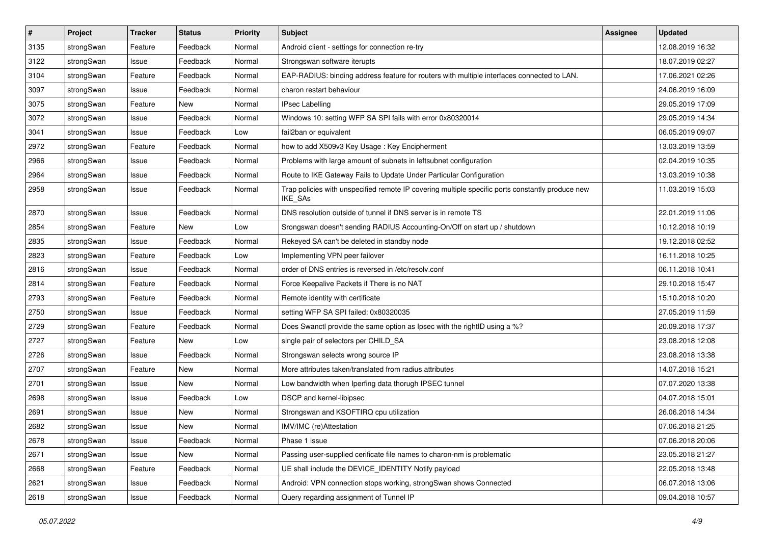| $\pmb{\#}$ | Project    | <b>Tracker</b> | <b>Status</b> | <b>Priority</b> | <b>Subject</b>                                                                                              | <b>Assignee</b> | <b>Updated</b>   |
|------------|------------|----------------|---------------|-----------------|-------------------------------------------------------------------------------------------------------------|-----------------|------------------|
| 3135       | strongSwan | Feature        | Feedback      | Normal          | Android client - settings for connection re-try                                                             |                 | 12.08.2019 16:32 |
| 3122       | strongSwan | Issue          | Feedback      | Normal          | Strongswan software iterupts                                                                                |                 | 18.07.2019 02:27 |
| 3104       | strongSwan | Feature        | Feedback      | Normal          | EAP-RADIUS: binding address feature for routers with multiple interfaces connected to LAN.                  |                 | 17.06.2021 02:26 |
| 3097       | strongSwan | Issue          | Feedback      | Normal          | charon restart behaviour                                                                                    |                 | 24.06.2019 16:09 |
| 3075       | strongSwan | Feature        | New           | Normal          | <b>IPsec Labelling</b>                                                                                      |                 | 29.05.2019 17:09 |
| 3072       | strongSwan | Issue          | Feedback      | Normal          | Windows 10: setting WFP SA SPI fails with error 0x80320014                                                  |                 | 29.05.2019 14:34 |
| 3041       | strongSwan | Issue          | Feedback      | Low             | fail2ban or equivalent                                                                                      |                 | 06.05.2019 09:07 |
| 2972       | strongSwan | Feature        | Feedback      | Normal          | how to add X509v3 Key Usage: Key Encipherment                                                               |                 | 13.03.2019 13:59 |
| 2966       | strongSwan | Issue          | Feedback      | Normal          | Problems with large amount of subnets in leftsubnet configuration                                           |                 | 02.04.2019 10:35 |
| 2964       | strongSwan | Issue          | Feedback      | Normal          | Route to IKE Gateway Fails to Update Under Particular Configuration                                         |                 | 13.03.2019 10:38 |
| 2958       | strongSwan | Issue          | Feedback      | Normal          | Trap policies with unspecified remote IP covering multiple specific ports constantly produce new<br>IKE_SAs |                 | 11.03.2019 15:03 |
| 2870       | strongSwan | Issue          | Feedback      | Normal          | DNS resolution outside of tunnel if DNS server is in remote TS                                              |                 | 22.01.2019 11:06 |
| 2854       | strongSwan | Feature        | New           | Low             | Srongswan doesn't sending RADIUS Accounting-On/Off on start up / shutdown                                   |                 | 10.12.2018 10:19 |
| 2835       | strongSwan | Issue          | Feedback      | Normal          | Rekeyed SA can't be deleted in standby node                                                                 |                 | 19.12.2018 02:52 |
| 2823       | strongSwan | Feature        | Feedback      | Low             | Implementing VPN peer failover                                                                              |                 | 16.11.2018 10:25 |
| 2816       | strongSwan | Issue          | Feedback      | Normal          | order of DNS entries is reversed in /etc/resolv.conf                                                        |                 | 06.11.2018 10:41 |
| 2814       | strongSwan | Feature        | Feedback      | Normal          | Force Keepalive Packets if There is no NAT                                                                  |                 | 29.10.2018 15:47 |
| 2793       | strongSwan | Feature        | Feedback      | Normal          | Remote identity with certificate                                                                            |                 | 15.10.2018 10:20 |
| 2750       | strongSwan | Issue          | Feedback      | Normal          | setting WFP SA SPI failed: 0x80320035                                                                       |                 | 27.05.2019 11:59 |
| 2729       | strongSwan | Feature        | Feedback      | Normal          | Does Swanctl provide the same option as Ipsec with the rightID using a %?                                   |                 | 20.09.2018 17:37 |
| 2727       | strongSwan | Feature        | New           | Low             | single pair of selectors per CHILD_SA                                                                       |                 | 23.08.2018 12:08 |
| 2726       | strongSwan | Issue          | Feedback      | Normal          | Strongswan selects wrong source IP                                                                          |                 | 23.08.2018 13:38 |
| 2707       | strongSwan | Feature        | New           | Normal          | More attributes taken/translated from radius attributes                                                     |                 | 14.07.2018 15:21 |
| 2701       | strongSwan | Issue          | New           | Normal          | Low bandwidth when Iperfing data thorugh IPSEC tunnel                                                       |                 | 07.07.2020 13:38 |
| 2698       | strongSwan | Issue          | Feedback      | Low             | DSCP and kernel-libipsec                                                                                    |                 | 04.07.2018 15:01 |
| 2691       | strongSwan | Issue          | New           | Normal          | Strongswan and KSOFTIRQ cpu utilization                                                                     |                 | 26.06.2018 14:34 |
| 2682       | strongSwan | Issue          | New           | Normal          | IMV/IMC (re)Attestation                                                                                     |                 | 07.06.2018 21:25 |
| 2678       | strongSwan | Issue          | Feedback      | Normal          | Phase 1 issue                                                                                               |                 | 07.06.2018 20:06 |
| 2671       | strongSwan | Issue          | New           | Normal          | Passing user-supplied cerificate file names to charon-nm is problematic                                     |                 | 23.05.2018 21:27 |
| 2668       | strongSwan | Feature        | Feedback      | Normal          | UE shall include the DEVICE_IDENTITY Notify payload                                                         |                 | 22.05.2018 13:48 |
| 2621       | strongSwan | Issue          | Feedback      | Normal          | Android: VPN connection stops working, strongSwan shows Connected                                           |                 | 06.07.2018 13:06 |
| 2618       | strongSwan | Issue          | Feedback      | Normal          | Query regarding assignment of Tunnel IP                                                                     |                 | 09.04.2018 10:57 |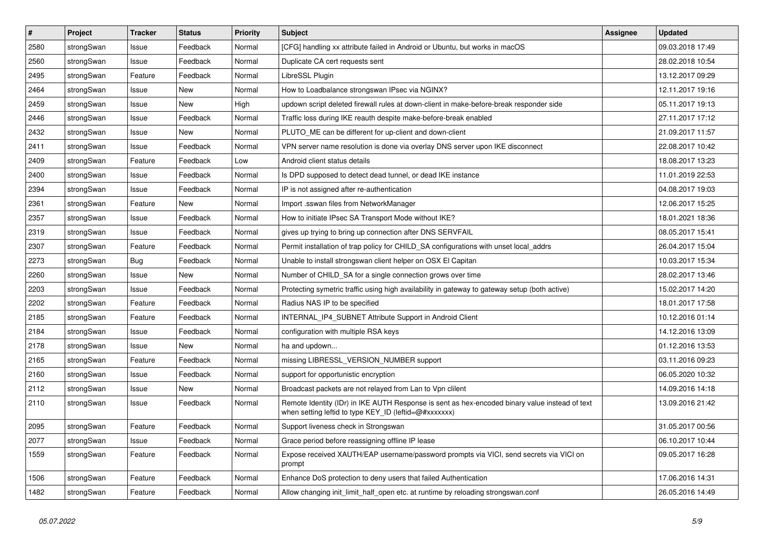| $\pmb{\#}$ | Project    | <b>Tracker</b> | <b>Status</b> | <b>Priority</b> | <b>Subject</b>                                                                                                                                          | <b>Assignee</b> | <b>Updated</b>   |
|------------|------------|----------------|---------------|-----------------|---------------------------------------------------------------------------------------------------------------------------------------------------------|-----------------|------------------|
| 2580       | strongSwan | Issue          | Feedback      | Normal          | [CFG] handling xx attribute failed in Android or Ubuntu, but works in macOS                                                                             |                 | 09.03.2018 17:49 |
| 2560       | strongSwan | Issue          | Feedback      | Normal          | Duplicate CA cert requests sent                                                                                                                         |                 | 28.02.2018 10:54 |
| 2495       | strongSwan | Feature        | Feedback      | Normal          | LibreSSL Plugin                                                                                                                                         |                 | 13.12.2017 09:29 |
| 2464       | strongSwan | Issue          | <b>New</b>    | Normal          | How to Loadbalance strongswan IPsec via NGINX?                                                                                                          |                 | 12.11.2017 19:16 |
| 2459       | strongSwan | Issue          | <b>New</b>    | High            | updown script deleted firewall rules at down-client in make-before-break responder side                                                                 |                 | 05.11.2017 19:13 |
| 2446       | strongSwan | Issue          | Feedback      | Normal          | Traffic loss during IKE reauth despite make-before-break enabled                                                                                        |                 | 27.11.2017 17:12 |
| 2432       | strongSwan | Issue          | New           | Normal          | PLUTO ME can be different for up-client and down-client                                                                                                 |                 | 21.09.2017 11:57 |
| 2411       | strongSwan | Issue          | Feedback      | Normal          | VPN server name resolution is done via overlay DNS server upon IKE disconnect                                                                           |                 | 22.08.2017 10:42 |
| 2409       | strongSwan | Feature        | Feedback      | Low             | Android client status details                                                                                                                           |                 | 18.08.2017 13:23 |
| 2400       | strongSwan | Issue          | Feedback      | Normal          | Is DPD supposed to detect dead tunnel, or dead IKE instance                                                                                             |                 | 11.01.2019 22:53 |
| 2394       | strongSwan | Issue          | Feedback      | Normal          | IP is not assigned after re-authentication                                                                                                              |                 | 04.08.2017 19:03 |
| 2361       | strongSwan | Feature        | New           | Normal          | Import .sswan files from NetworkManager                                                                                                                 |                 | 12.06.2017 15:25 |
| 2357       | strongSwan | Issue          | Feedback      | Normal          | How to initiate IPsec SA Transport Mode without IKE?                                                                                                    |                 | 18.01.2021 18:36 |
| 2319       | strongSwan | Issue          | Feedback      | Normal          | gives up trying to bring up connection after DNS SERVFAIL                                                                                               |                 | 08.05.2017 15:41 |
| 2307       | strongSwan | Feature        | Feedback      | Normal          | Permit installation of trap policy for CHILD_SA configurations with unset local_addrs                                                                   |                 | 26.04.2017 15:04 |
| 2273       | strongSwan | Bug            | Feedback      | Normal          | Unable to install strongswan client helper on OSX El Capitan                                                                                            |                 | 10.03.2017 15:34 |
| 2260       | strongSwan | Issue          | New           | Normal          | Number of CHILD_SA for a single connection grows over time                                                                                              |                 | 28.02.2017 13:46 |
| 2203       | strongSwan | Issue          | Feedback      | Normal          | Protecting symetric traffic using high availability in gateway to gateway setup (both active)                                                           |                 | 15.02.2017 14:20 |
| 2202       | strongSwan | Feature        | Feedback      | Normal          | Radius NAS IP to be specified                                                                                                                           |                 | 18.01.2017 17:58 |
| 2185       | strongSwan | Feature        | Feedback      | Normal          | INTERNAL IP4 SUBNET Attribute Support in Android Client                                                                                                 |                 | 10.12.2016 01:14 |
| 2184       | strongSwan | Issue          | Feedback      | Normal          | configuration with multiple RSA keys                                                                                                                    |                 | 14.12.2016 13:09 |
| 2178       | strongSwan | Issue          | New           | Normal          | ha and updown                                                                                                                                           |                 | 01.12.2016 13:53 |
| 2165       | strongSwan | Feature        | Feedback      | Normal          | missing LIBRESSL_VERSION_NUMBER support                                                                                                                 |                 | 03.11.2016 09:23 |
| 2160       | strongSwan | Issue          | Feedback      | Normal          | support for opportunistic encryption                                                                                                                    |                 | 06.05.2020 10:32 |
| 2112       | strongSwan | Issue          | New           | Normal          | Broadcast packets are not relayed from Lan to Vpn clilent                                                                                               |                 | 14.09.2016 14:18 |
| 2110       | strongSwan | Issue          | Feedback      | Normal          | Remote Identity (IDr) in IKE AUTH Response is sent as hex-encoded binary value instead of text<br>when setting leftid to type KEY_ID (leftid=@#xxxxxxx) |                 | 13.09.2016 21:42 |
| 2095       | strongSwan | Feature        | Feedback      | Normal          | Support liveness check in Strongswan                                                                                                                    |                 | 31.05.2017 00:56 |
| 2077       | strongSwan | Issue          | Feedback      | Normal          | Grace period before reassigning offline IP lease                                                                                                        |                 | 06.10.2017 10:44 |
| 1559       | strongSwan | Feature        | Feedback      | Normal          | Expose received XAUTH/EAP username/password prompts via VICI, send secrets via VICI on<br>prompt                                                        |                 | 09.05.2017 16:28 |
| 1506       | strongSwan | Feature        | Feedback      | Normal          | Enhance DoS protection to deny users that failed Authentication                                                                                         |                 | 17.06.2016 14:31 |
| 1482       | strongSwan | Feature        | Feedback      | Normal          | Allow changing init_limit_half_open etc. at runtime by reloading strongswan.conf                                                                        |                 | 26.05.2016 14:49 |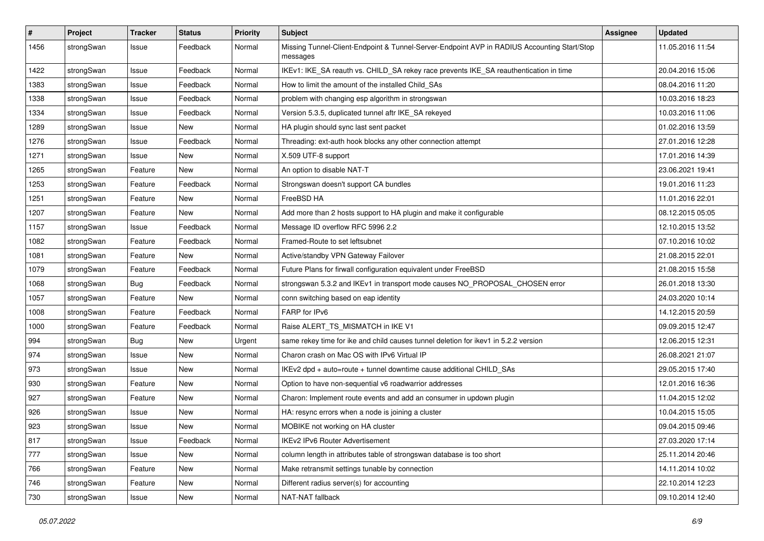| #    | Project    | <b>Tracker</b> | <b>Status</b> | <b>Priority</b> | <b>Subject</b>                                                                                          | <b>Assignee</b> | <b>Updated</b>   |
|------|------------|----------------|---------------|-----------------|---------------------------------------------------------------------------------------------------------|-----------------|------------------|
| 1456 | strongSwan | Issue          | Feedback      | Normal          | Missing Tunnel-Client-Endpoint & Tunnel-Server-Endpoint AVP in RADIUS Accounting Start/Stop<br>messages |                 | 11.05.2016 11:54 |
| 1422 | strongSwan | Issue          | Feedback      | Normal          | IKEv1: IKE_SA reauth vs. CHILD_SA rekey race prevents IKE_SA reauthentication in time                   |                 | 20.04.2016 15:06 |
| 1383 | strongSwan | Issue          | Feedback      | Normal          | How to limit the amount of the installed Child SAs                                                      |                 | 08.04.2016 11:20 |
| 1338 | strongSwan | Issue          | Feedback      | Normal          | problem with changing esp algorithm in strongswan                                                       |                 | 10.03.2016 18:23 |
| 1334 | strongSwan | Issue          | Feedback      | Normal          | Version 5.3.5, duplicated tunnel aftr IKE_SA rekeyed                                                    |                 | 10.03.2016 11:06 |
| 1289 | strongSwan | Issue          | <b>New</b>    | Normal          | HA plugin should sync last sent packet                                                                  |                 | 01.02.2016 13:59 |
| 1276 | strongSwan | Issue          | Feedback      | Normal          | Threading: ext-auth hook blocks any other connection attempt                                            |                 | 27.01.2016 12:28 |
| 1271 | strongSwan | Issue          | <b>New</b>    | Normal          | X.509 UTF-8 support                                                                                     |                 | 17.01.2016 14:39 |
| 1265 | strongSwan | Feature        | New           | Normal          | An option to disable NAT-T                                                                              |                 | 23.06.2021 19:41 |
| 1253 | strongSwan | Feature        | Feedback      | Normal          | Strongswan doesn't support CA bundles                                                                   |                 | 19.01.2016 11:23 |
| 1251 | strongSwan | Feature        | New           | Normal          | FreeBSD HA                                                                                              |                 | 11.01.2016 22:01 |
| 1207 | strongSwan | Feature        | New           | Normal          | Add more than 2 hosts support to HA plugin and make it configurable                                     |                 | 08.12.2015 05:05 |
| 1157 | strongSwan | Issue          | Feedback      | Normal          | Message ID overflow RFC 5996 2.2                                                                        |                 | 12.10.2015 13:52 |
| 1082 | strongSwan | Feature        | Feedback      | Normal          | Framed-Route to set leftsubnet                                                                          |                 | 07.10.2016 10:02 |
| 1081 | strongSwan | Feature        | New           | Normal          | Active/standby VPN Gateway Failover                                                                     |                 | 21.08.2015 22:01 |
| 1079 | strongSwan | Feature        | Feedback      | Normal          | Future Plans for firwall configuration equivalent under FreeBSD                                         |                 | 21.08.2015 15:58 |
| 1068 | strongSwan | <b>Bug</b>     | Feedback      | Normal          | strongswan 5.3.2 and IKEv1 in transport mode causes NO_PROPOSAL_CHOSEN error                            |                 | 26.01.2018 13:30 |
| 1057 | strongSwan | Feature        | New           | Normal          | conn switching based on eap identity                                                                    |                 | 24.03.2020 10:14 |
| 1008 | strongSwan | Feature        | Feedback      | Normal          | FARP for IPv6                                                                                           |                 | 14.12.2015 20:59 |
| 1000 | strongSwan | Feature        | Feedback      | Normal          | Raise ALERT TS MISMATCH in IKE V1                                                                       |                 | 09.09.2015 12:47 |
| 994  | strongSwan | <b>Bug</b>     | New           | Urgent          | same rekey time for ike and child causes tunnel deletion for ikev1 in 5.2.2 version                     |                 | 12.06.2015 12:31 |
| 974  | strongSwan | Issue          | New           | Normal          | Charon crash on Mac OS with IPv6 Virtual IP                                                             |                 | 26.08.2021 21:07 |
| 973  | strongSwan | Issue          | New           | Normal          | IKEv2 dpd + auto=route + tunnel downtime cause additional CHILD_SAs                                     |                 | 29.05.2015 17:40 |
| 930  | strongSwan | Feature        | <b>New</b>    | Normal          | Option to have non-sequential v6 roadwarrior addresses                                                  |                 | 12.01.2016 16:36 |
| 927  | strongSwan | Feature        | New           | Normal          | Charon: Implement route events and add an consumer in updown plugin                                     |                 | 11.04.2015 12:02 |
| 926  | strongSwan | Issue          | New           | Normal          | HA: resync errors when a node is joining a cluster                                                      |                 | 10.04.2015 15:05 |
| 923  | strongSwan | Issue          | New           | Normal          | MOBIKE not working on HA cluster                                                                        |                 | 09.04.2015 09:46 |
| 817  | strongSwan | Issue          | Feedback      | Normal          | IKEv2 IPv6 Router Advertisement                                                                         |                 | 27.03.2020 17:14 |
| 777  | strongSwan | Issue          | New           | Normal          | column length in attributes table of strongswan database is too short                                   |                 | 25.11.2014 20:46 |
| 766  | strongSwan | Feature        | New           | Normal          | Make retransmit settings tunable by connection                                                          |                 | 14.11.2014 10:02 |
| 746  | strongSwan | Feature        | New           | Normal          | Different radius server(s) for accounting                                                               |                 | 22.10.2014 12:23 |
| 730  | strongSwan | Issue          | New           | Normal          | NAT-NAT fallback                                                                                        |                 | 09.10.2014 12:40 |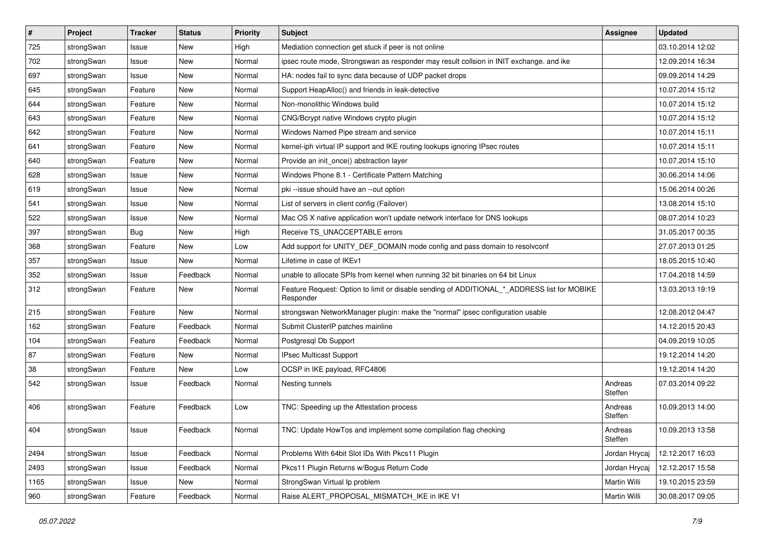| $\vert$ # | Project    | <b>Tracker</b> | <b>Status</b> | <b>Priority</b> | Subject                                                                                                  | <b>Assignee</b>    | <b>Updated</b>   |
|-----------|------------|----------------|---------------|-----------------|----------------------------------------------------------------------------------------------------------|--------------------|------------------|
| 725       | strongSwan | Issue          | New           | High            | Mediation connection get stuck if peer is not online                                                     |                    | 03.10.2014 12:02 |
| 702       | strongSwan | Issue          | <b>New</b>    | Normal          | ipsec route mode, Strongswan as responder may result collsion in INIT exchange. and ike                  |                    | 12.09.2014 16:34 |
| 697       | strongSwan | Issue          | New           | Normal          | HA: nodes fail to sync data because of UDP packet drops                                                  |                    | 09.09.2014 14:29 |
| 645       | strongSwan | Feature        | New           | Normal          | Support HeapAlloc() and friends in leak-detective                                                        |                    | 10.07.2014 15:12 |
| 644       | strongSwan | Feature        | <b>New</b>    | Normal          | Non-monolithic Windows build                                                                             |                    | 10.07.2014 15:12 |
| 643       | strongSwan | Feature        | New           | Normal          | CNG/Bcrypt native Windows crypto plugin                                                                  |                    | 10.07.2014 15:12 |
| 642       | strongSwan | Feature        | New           | Normal          | Windows Named Pipe stream and service                                                                    |                    | 10.07.2014 15:11 |
| 641       | strongSwan | Feature        | New           | Normal          | kernel-iph virtual IP support and IKE routing lookups ignoring IPsec routes                              |                    | 10.07.2014 15:11 |
| 640       | strongSwan | Feature        | New           | Normal          | Provide an init_once() abstraction layer                                                                 |                    | 10.07.2014 15:10 |
| 628       | strongSwan | Issue          | New           | Normal          | Windows Phone 8.1 - Certificate Pattern Matching                                                         |                    | 30.06.2014 14:06 |
| 619       | strongSwan | Issue          | New           | Normal          | pki --issue should have an --out option                                                                  |                    | 15.06.2014 00:26 |
| 541       | strongSwan | Issue          | <b>New</b>    | Normal          | List of servers in client config (Failover)                                                              |                    | 13.08.2014 15:10 |
| 522       | strongSwan | Issue          | New           | Normal          | Mac OS X native application won't update network interface for DNS lookups                               |                    | 08.07.2014 10:23 |
| 397       | strongSwan | <b>Bug</b>     | New           | High            | Receive TS UNACCEPTABLE errors                                                                           |                    | 31.05.2017 00:35 |
| 368       | strongSwan | Feature        | <b>New</b>    | Low             | Add support for UNITY_DEF_DOMAIN mode config and pass domain to resolvconf                               |                    | 27.07.2013 01:25 |
| 357       | strongSwan | Issue          | New           | Normal          | Lifetime in case of IKEv1                                                                                |                    | 18.05.2015 10:40 |
| 352       | strongSwan | Issue          | Feedback      | Normal          | unable to allocate SPIs from kernel when running 32 bit binaries on 64 bit Linux                         |                    | 17.04.2018 14:59 |
| 312       | strongSwan | Feature        | <b>New</b>    | Normal          | Feature Request: Option to limit or disable sending of ADDITIONAL_*_ADDRESS list for MOBIKE<br>Responder |                    | 13.03.2013 19:19 |
| 215       | strongSwan | Feature        | <b>New</b>    | Normal          | strongswan NetworkManager plugin: make the "normal" ipsec configuration usable                           |                    | 12.08.2012 04:47 |
| 162       | strongSwan | Feature        | Feedback      | Normal          | Submit ClusterIP patches mainline                                                                        |                    | 14.12.2015 20:43 |
| 104       | strongSwan | Feature        | Feedback      | Normal          | Postgresql Db Support                                                                                    |                    | 04.09.2019 10:05 |
| 87        | strongSwan | Feature        | New           | Normal          | IPsec Multicast Support                                                                                  |                    | 19.12.2014 14:20 |
| 38        | strongSwan | Feature        | New           | Low             | OCSP in IKE payload, RFC4806                                                                             |                    | 19.12.2014 14:20 |
| 542       | strongSwan | Issue          | Feedback      | Normal          | Nesting tunnels                                                                                          | Andreas<br>Steffen | 07.03.2014 09:22 |
| 406       | strongSwan | Feature        | Feedback      | Low             | TNC: Speeding up the Attestation process                                                                 | Andreas<br>Steffen | 10.09.2013 14:00 |
| 404       | strongSwan | Issue          | Feedback      | Normal          | TNC: Update HowTos and implement some compilation flag checking                                          | Andreas<br>Steffen | 10.09.2013 13:58 |
| 2494      | strongSwan | Issue          | Feedback      | Normal          | Problems With 64bit Slot IDs With Pkcs11 Plugin                                                          | Jordan Hrycaj      | 12.12.2017 16:03 |
| 2493      | strongSwan | Issue          | Feedback      | Normal          | Pkcs11 Plugin Returns w/Bogus Return Code                                                                | Jordan Hrycaj      | 12.12.2017 15:58 |
| 1165      | strongSwan | Issue          | New           | Normal          | StrongSwan Virtual Ip problem                                                                            | Martin Willi       | 19.10.2015 23:59 |
| 960       | strongSwan | Feature        | Feedback      | Normal          | Raise ALERT_PROPOSAL_MISMATCH_IKE in IKE V1                                                              | Martin Willi       | 30.08.2017 09:05 |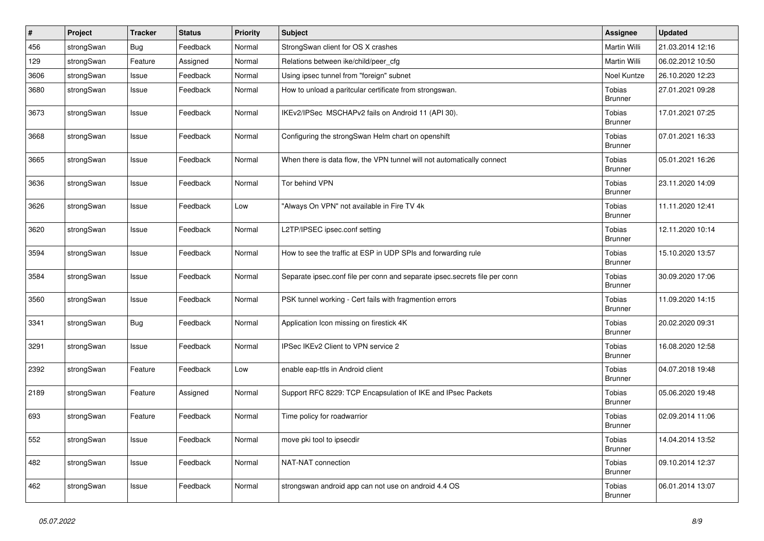| $\#$ | Project    | Tracker    | <b>Status</b> | <b>Priority</b> | Subject                                                                    | <b>Assignee</b>          | <b>Updated</b>   |
|------|------------|------------|---------------|-----------------|----------------------------------------------------------------------------|--------------------------|------------------|
| 456  | strongSwan | <b>Bug</b> | Feedback      | Normal          | StrongSwan client for OS X crashes                                         | Martin Willi             | 21.03.2014 12:16 |
| 129  | strongSwan | Feature    | Assigned      | Normal          | Relations between ike/child/peer_cfg                                       | Martin Willi             | 06.02.2012 10:50 |
| 3606 | strongSwan | Issue      | Feedback      | Normal          | Using ipsec tunnel from "foreign" subnet                                   | Noel Kuntze              | 26.10.2020 12:23 |
| 3680 | strongSwan | Issue      | Feedback      | Normal          | How to unload a paritcular certificate from strongswan.                    | Tobias<br><b>Brunner</b> | 27.01.2021 09:28 |
| 3673 | strongSwan | Issue      | Feedback      | Normal          | IKEv2/IPSec MSCHAPv2 fails on Android 11 (API 30).                         | Tobias<br><b>Brunner</b> | 17.01.2021 07:25 |
| 3668 | strongSwan | Issue      | Feedback      | Normal          | Configuring the strongSwan Helm chart on openshift                         | Tobias<br><b>Brunner</b> | 07.01.2021 16:33 |
| 3665 | strongSwan | Issue      | Feedback      | Normal          | When there is data flow, the VPN tunnel will not automatically connect     | Tobias<br><b>Brunner</b> | 05.01.2021 16:26 |
| 3636 | strongSwan | Issue      | Feedback      | Normal          | Tor behind VPN                                                             | Tobias<br><b>Brunner</b> | 23.11.2020 14:09 |
| 3626 | strongSwan | Issue      | Feedback      | Low             | "Always On VPN" not available in Fire TV 4k                                | Tobias<br><b>Brunner</b> | 11.11.2020 12:41 |
| 3620 | strongSwan | Issue      | Feedback      | Normal          | L2TP/IPSEC ipsec.conf setting                                              | Tobias<br><b>Brunner</b> | 12.11.2020 10:14 |
| 3594 | strongSwan | Issue      | Feedback      | Normal          | How to see the traffic at ESP in UDP SPIs and forwarding rule              | Tobias<br>Brunner        | 15.10.2020 13:57 |
| 3584 | strongSwan | Issue      | Feedback      | Normal          | Separate ipsec.conf file per conn and separate ipsec.secrets file per conn | Tobias<br><b>Brunner</b> | 30.09.2020 17:06 |
| 3560 | strongSwan | Issue      | Feedback      | Normal          | PSK tunnel working - Cert fails with fragmention errors                    | Tobias<br><b>Brunner</b> | 11.09.2020 14:15 |
| 3341 | strongSwan | Bug        | Feedback      | Normal          | Application Icon missing on firestick 4K                                   | Tobias<br><b>Brunner</b> | 20.02.2020 09:31 |
| 3291 | strongSwan | Issue      | Feedback      | Normal          | IPSec IKEv2 Client to VPN service 2                                        | Tobias<br><b>Brunner</b> | 16.08.2020 12:58 |
| 2392 | strongSwan | Feature    | Feedback      | Low             | enable eap-ttls in Android client                                          | Tobias<br><b>Brunner</b> | 04.07.2018 19:48 |
| 2189 | strongSwan | Feature    | Assigned      | Normal          | Support RFC 8229: TCP Encapsulation of IKE and IPsec Packets               | Tobias<br><b>Brunner</b> | 05.06.2020 19:48 |
| 693  | strongSwan | Feature    | Feedback      | Normal          | Time policy for roadwarrior                                                | Tobias<br><b>Brunner</b> | 02.09.2014 11:06 |
| 552  | strongSwan | Issue      | Feedback      | Normal          | move pki tool to ipsecdir                                                  | Tobias<br><b>Brunner</b> | 14.04.2014 13:52 |
| 482  | strongSwan | Issue      | Feedback      | Normal          | NAT-NAT connection                                                         | Tobias<br><b>Brunner</b> | 09.10.2014 12:37 |
| 462  | strongSwan | Issue      | Feedback      | Normal          | strongswan android app can not use on android 4.4 OS                       | Tobias<br><b>Brunner</b> | 06.01.2014 13:07 |